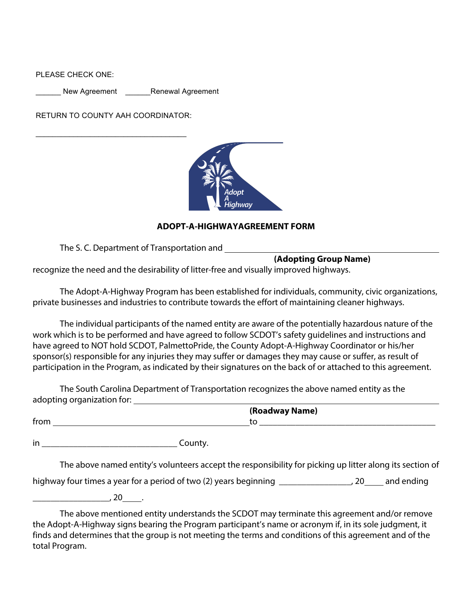PLEASE CHECK ONE:

New Agreement **Renewal Agreement** 

RETURN TO COUNTY AAH COORDINATOR:



## **ADOPT-A-HIGHWAYAGREEMENT FORM**

The S. C. Department of Transportation and

**(Adopting Group Name)**

recognize the need and the desirability of litter-free and visually improved highways.

The Adopt-A-Highway Program has been established for individuals, community, civic organizations, private businesses and industries to contribute towards the effort of maintaining cleaner highways.

The individual participants of the named entity are aware of the potentially hazardous nature of the work which is to be performed and have agreed to follow SCDOT's safety guidelines and instructions and have agreed to NOT hold SCDOT, PalmettoPride, the County Adopt-A-Highway Coordinator or his/her sponsor(s) responsible for any injuries they may suffer or damages they may cause or suffer, as result of participation in the Program, as indicated by their signatures on the back of or attached to this agreement.

The South Carolina Department of Transportation recognizes the above named entity as the adopting organization for:

|      | (Roadway Name) |
|------|----------------|
| trom | w              |
|      |                |

in **county.** 

The above named entity's volunteers accept the responsibility for picking up litter along its section of

highway four times a year for a period of two (2) years beginning \_\_\_\_\_\_\_\_\_\_\_\_\_\_\_, 20\_\_\_\_\_ and ending

 $\overline{\phantom{a}}$ , 20 .

The above mentioned entity understands the SCDOT may terminate this agreement and/or remove the Adopt-A-Highway signs bearing the Program participant's name or acronym if, in its sole judgment, it finds and determines that the group is not meeting the terms and conditions of this agreement and of the total Program.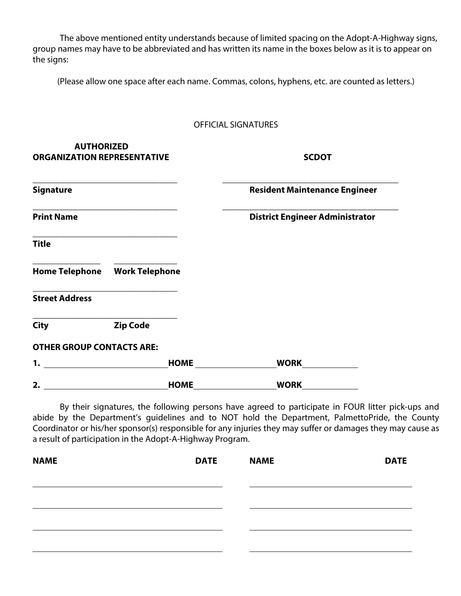The above mentioned entity understands because of limited spacing on the Adopt-A-Highway signs, group names may have to be abbreviated and has written its name in the boxes below as it is to appear on the signs:

(Please allow one space after each name. Commas, colons, hyphens, etc. are counted as letters.)

|  | OFFICIAL SIGNATURES |
|--|---------------------|
|--|---------------------|

| <b>AUTHORIZED</b><br><b>ORGANIZATION REPRESENTATIVE</b> |                 |             | <b>SCDOT</b>                           |  |
|---------------------------------------------------------|-----------------|-------------|----------------------------------------|--|
| <b>Signature</b>                                        |                 |             | <b>Resident Maintenance Engineer</b>   |  |
| <b>Print Name</b>                                       |                 |             | <b>District Engineer Administrator</b> |  |
| <b>Title</b>                                            |                 |             |                                        |  |
|                                                         |                 |             |                                        |  |
| <b>Street Address</b>                                   |                 |             |                                        |  |
| <b>City</b>                                             | <b>Zip Code</b> |             |                                        |  |
| <b>OTHER GROUP CONTACTS ARE:</b>                        |                 |             |                                        |  |
| 1.                                                      |                 | <b>HOME</b> | <b>WORK</b>                            |  |

**2. HOME WORK**

By their signatures, the following persons have agreed to participate in FOUR litter pick-ups and abide by the Department's guidelines and to NOT hold the Department, PalmettoPride, the County Coordinator or his/her sponsor(s) responsible for any injuries they may suffer or damages they may cause as a result of participation in the Adopt-A-Highway Program.

| <b>NAME</b> | <b>DATE</b> | <b>NAME</b> | <b>DATE</b> |
|-------------|-------------|-------------|-------------|
|             |             |             |             |
|             |             |             |             |
|             |             |             |             |
|             |             |             |             |
|             |             |             |             |
|             |             |             |             |